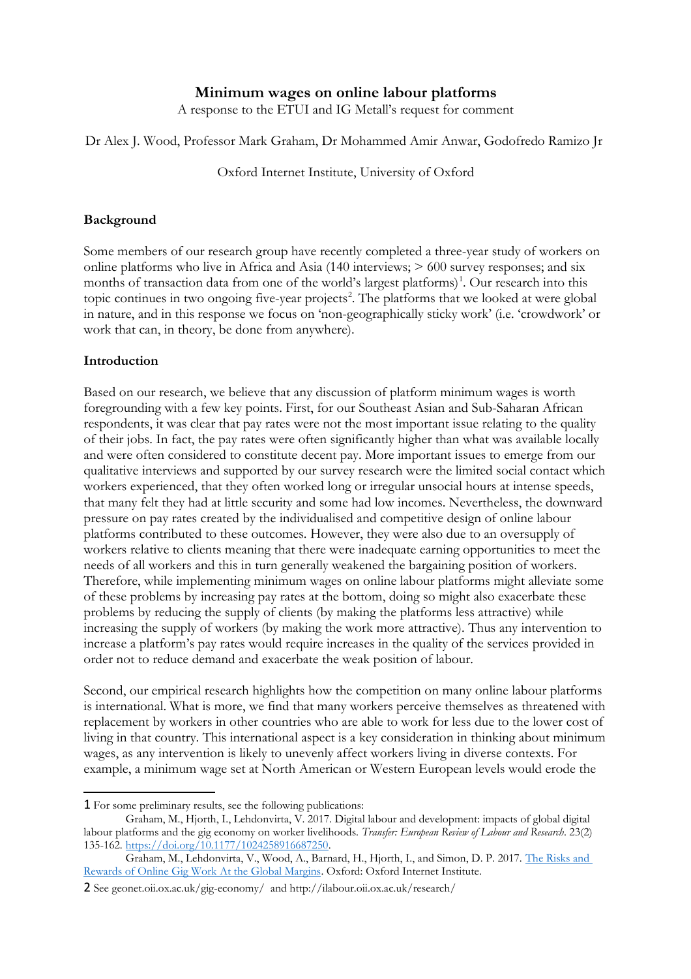## **Minimum wages on online labour platforms**

A response to the ETUI and IG Metall's request for comment

Dr Alex J. Wood, Professor Mark Graham, Dr Mohammed Amir Anwar, Godofredo Ramizo Jr

Oxford Internet Institute, University of Oxford

## **Background**

Some members of our research group have recently completed a three-year study of workers on online platforms who live in Africa and Asia (140 interviews; > 600 survey responses; and six months of transaction data from one of the world's largest platforms)<sup>[1](#page-0-0)</sup>. Our research into this topic continues in two ongoing five-year projects<sup>[2](#page-0-1)</sup>. The platforms that we looked at were global in nature, and in this response we focus on 'non-geographically sticky work' (i.e. 'crowdwork' or work that can, in theory, be done from anywhere).

## **Introduction**

Based on our research, we believe that any discussion of platform minimum wages is worth foregrounding with a few key points. First, for our Southeast Asian and Sub-Saharan African respondents, it was clear that pay rates were not the most important issue relating to the quality of their jobs. In fact, the pay rates were often significantly higher than what was available locally and were often considered to constitute decent pay. More important issues to emerge from our qualitative interviews and supported by our survey research were the limited social contact which workers experienced, that they often worked long or irregular unsocial hours at intense speeds, that many felt they had at little security and some had low incomes. Nevertheless, the downward pressure on pay rates created by the individualised and competitive design of online labour platforms contributed to these outcomes. However, they were also due to an oversupply of workers relative to clients meaning that there were inadequate earning opportunities to meet the needs of all workers and this in turn generally weakened the bargaining position of workers. Therefore, while implementing minimum wages on online labour platforms might alleviate some of these problems by increasing pay rates at the bottom, doing so might also exacerbate these problems by reducing the supply of clients (by making the platforms less attractive) while increasing the supply of workers (by making the work more attractive). Thus any intervention to increase a platform's pay rates would require increases in the quality of the services provided in order not to reduce demand and exacerbate the weak position of labour.

Second, our empirical research highlights how the competition on many online labour platforms is international. What is more, we find that many workers perceive themselves as threatened with replacement by workers in other countries who are able to work for less due to the lower cost of living in that country. This international aspect is a key consideration in thinking about minimum wages, as any intervention is likely to unevenly affect workers living in diverse contexts. For example, a minimum wage set at North American or Western European levels would erode the

<span id="page-0-0"></span><sup>1</sup> For some preliminary results, see the following publications:

Graham, M., Hjorth, I., Lehdonvirta, V. 2017. Digital labour and development: impacts of global digital labour platforms and the gig economy on worker livelihoods. *Transfer: European Review of Labour and Research*. 23(2) 135-162. [https://doi.org/10.1177/1024258916687250.](https://doi.org/10.1177/1024258916687250)

Graham, M., Lehdonvirta, V., Wood, A., Barnard, H., Hjorth, I., and Simon, D. P. 2017. [The Risks and](https://www.oii.ox.ac.uk/publications/gigwork.pdf)  [Rewards of Online Gig Work At the Global Margins.](https://www.oii.ox.ac.uk/publications/gigwork.pdf) Oxford: Oxford Internet Institute.

<span id="page-0-1"></span><sup>2</sup> See geonet.oii.ox.ac.uk/gig-economy/ and http://ilabour.oii.ox.ac.uk/research/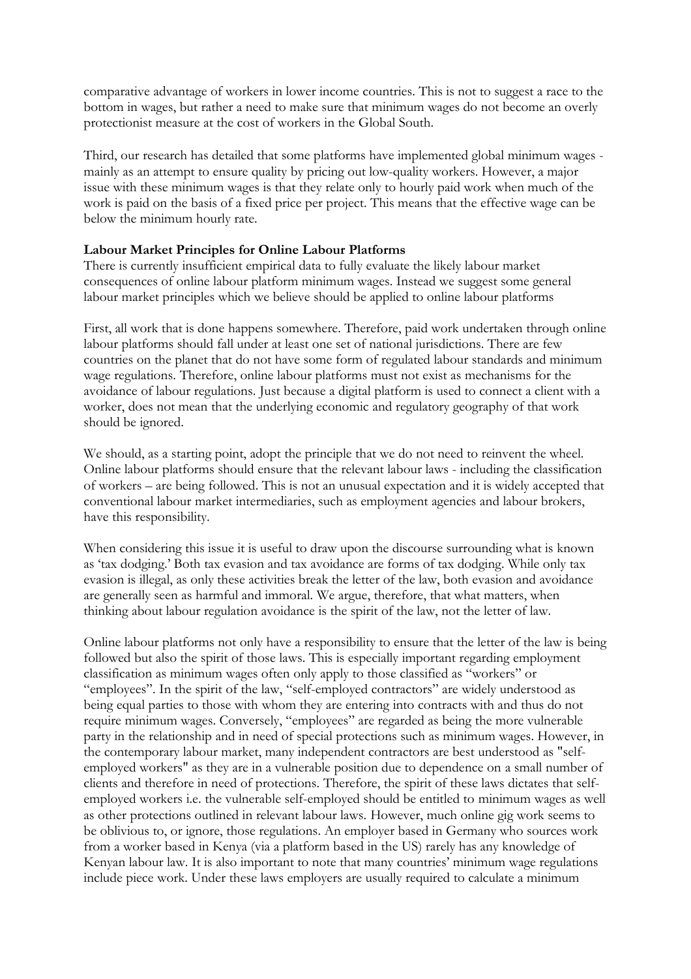comparative advantage of workers in lower income countries. This is not to suggest a race to the bottom in wages, but rather a need to make sure that minimum wages do not become an overly protectionist measure at the cost of workers in the Global South.

Third, our research has detailed that some platforms have implemented global minimum wages mainly as an attempt to ensure quality by pricing out low-quality workers. However, a major issue with these minimum wages is that they relate only to hourly paid work when much of the work is paid on the basis of a fixed price per project. This means that the effective wage can be below the minimum hourly rate.

## **Labour Market Principles for Online Labour Platforms**

There is currently insufficient empirical data to fully evaluate the likely labour market consequences of online labour platform minimum wages. Instead we suggest some general labour market principles which we believe should be applied to online labour platforms

First, all work that is done happens somewhere. Therefore, paid work undertaken through online labour platforms should fall under at least one set of national jurisdictions. There are few countries on the planet that do not have some form of regulated labour standards and minimum wage regulations. Therefore, online labour platforms must not exist as mechanisms for the avoidance of labour regulations. Just because a digital platform is used to connect a client with a worker, does not mean that the underlying economic and regulatory geography of that work should be ignored.

We should, as a starting point, adopt the principle that we do not need to reinvent the wheel. Online labour platforms should ensure that the relevant labour laws - including the classification of workers – are being followed. This is not an unusual expectation and it is widely accepted that conventional labour market intermediaries, such as employment agencies and labour brokers, have this responsibility.

When considering this issue it is useful to draw upon the discourse surrounding what is known as 'tax dodging.' Both tax evasion and tax avoidance are forms of tax dodging. While only tax evasion is illegal, as only these activities break the letter of the law, both evasion and avoidance are generally seen as harmful and immoral. We argue, therefore, that what matters, when thinking about labour regulation avoidance is the spirit of the law, not the letter of law.

Online labour platforms not only have a responsibility to ensure that the letter of the law is being followed but also the spirit of those laws. This is especially important regarding employment classification as minimum wages often only apply to those classified as "workers" or "employees". In the spirit of the law, "self-employed contractors" are widely understood as being equal parties to those with whom they are entering into contracts with and thus do not require minimum wages. Conversely, "employees" are regarded as being the more vulnerable party in the relationship and in need of special protections such as minimum wages. However, in the contemporary labour market, many independent contractors are best understood as "selfemployed workers" as they are in a vulnerable position due to dependence on a small number of clients and therefore in need of protections. Therefore, the spirit of these laws dictates that selfemployed workers i.e. the vulnerable self-employed should be entitled to minimum wages as well as other protections outlined in relevant labour laws. However, much online gig work seems to be oblivious to, or ignore, those regulations. An employer based in Germany who sources work from a worker based in Kenya (via a platform based in the US) rarely has any knowledge of Kenyan labour law. It is also important to note that many countries' minimum wage regulations include piece work. Under these laws employers are usually required to calculate a minimum